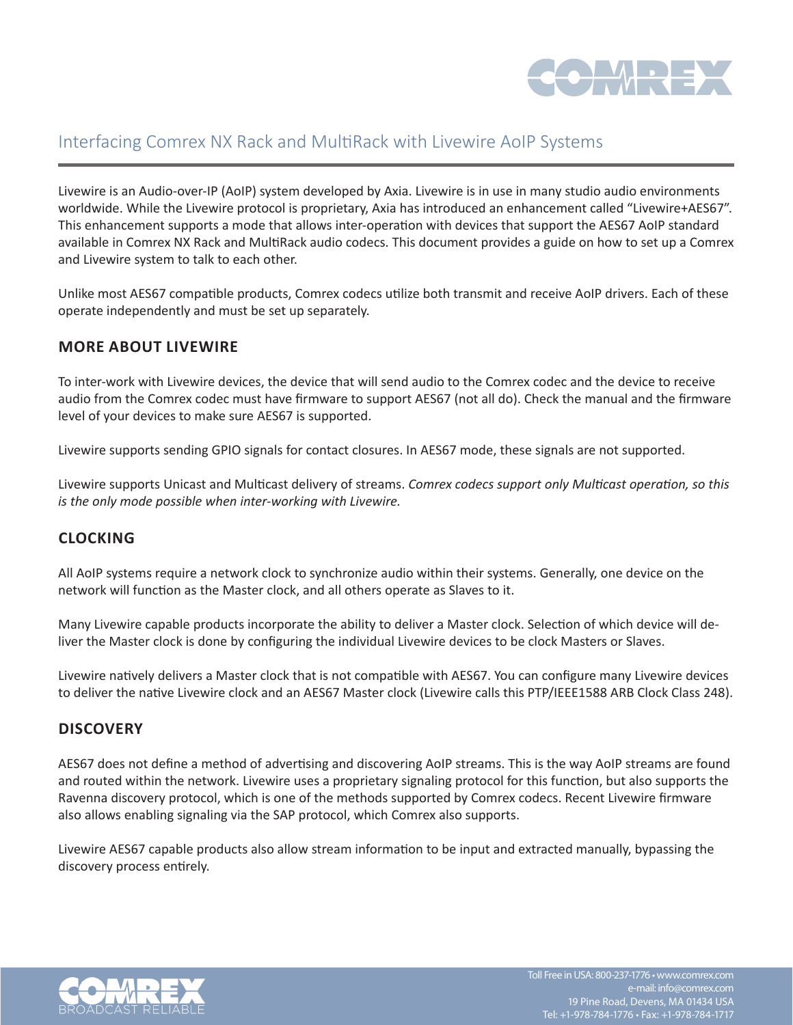

# Interfacing Comrex NX Rack and MultiRack with Livewire AoIP Systems

Livewire is an Audio-over-IP (AoIP) system developed by Axia. Livewire is in use in many studio audio environments worldwide. While the Livewire protocol is proprietary, Axia has introduced an enhancement called "Livewire+AES67". This enhancement supports a mode that allows inter-operation with devices that support the AES67 AoIP standard available in Comrex NX Rack and MultiRack audio codecs. This document provides a guide on how to set up a Comrex and Livewire system to talk to each other.

Unlike most AES67 compatible products, Comrex codecs utilize both transmit and receive AoIP drivers. Each of these operate independently and must be set up separately.

# **MORE ABOUT LIVEWIRE**

To inter-work with Livewire devices, the device that will send audio to the Comrex codec and the device to receive audio from the Comrex codec must have firmware to support AES67 (not all do). Check the manual and the firmware level of your devices to make sure AES67 is supported.

Livewire supports sending GPIO signals for contact closures. In AES67 mode, these signals are not supported.

Livewire supports Unicast and Multicast delivery of streams. *Comrex codecs support only Multicast operation, so this is the only mode possible when inter-working with Livewire.*

# **CLOCKING**

All AoIP systems require a network clock to synchronize audio within their systems. Generally, one device on the network will function as the Master clock, and all others operate as Slaves to it.

Many Livewire capable products incorporate the ability to deliver a Master clock. Selection of which device will deliver the Master clock is done by configuring the individual Livewire devices to be clock Masters or Slaves.

Livewire natively delivers a Master clock that is not compatible with AES67. You can configure many Livewire devices to deliver the native Livewire clock and an AES67 Master clock (Livewire calls this PTP/IEEE1588 ARB Clock Class 248).

### **DISCOVERY**

AES67 does not define a method of advertising and discovering AoIP streams. This is the way AoIP streams are found and routed within the network. Livewire uses a proprietary signaling protocol for this function, but also supports the Ravenna discovery protocol, which is one of the methods supported by Comrex codecs. Recent Livewire firmware also allows enabling signaling via the SAP protocol, which Comrex also supports.

Livewire AES67 capable products also allow stream information to be input and extracted manually, bypassing the discovery process entirely.

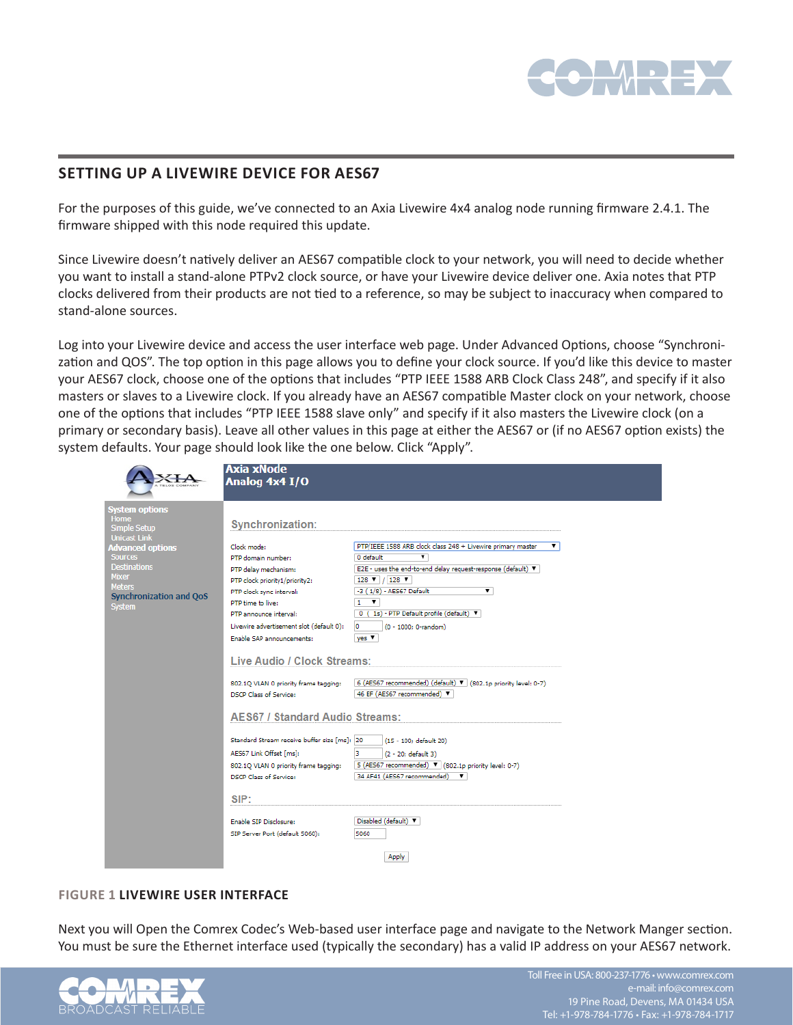

# **SETTING UP A LIVEWIRE DEVICE FOR AES67**

For the purposes of this guide, we've connected to an Axia Livewire 4x4 analog node running firmware 2.4.1. The firmware shipped with this node required this update.

Since Livewire doesn't natively deliver an AES67 compatible clock to your network, you will need to decide whether you want to install a stand-alone PTPv2 clock source, or have your Livewire device deliver one. Axia notes that PTP clocks delivered from their products are not tied to a reference, so may be subject to inaccuracy when compared to stand-alone sources.

Log into your Livewire device and access the user interface web page. Under Advanced Options, choose "Synchronization and QOS". The top option in this page allows you to define your clock source. If you'd like this device to master your AES67 clock, choose one of the options that includes "PTP IEEE 1588 ARB Clock Class 248", and specify if it also masters or slaves to a Livewire clock. If you already have an AES67 compatible Master clock on your network, choose one of the options that includes "PTP IEEE 1588 slave only" and specify if it also masters the Livewire clock (on a primary or secondary basis). Leave all other values in this page at either the AES67 or (if no AES67 option exists) the system defaults. Your page should look like the one below. Click "Apply".

|                                                 | Axia xNode                                   |                                                                         |  |  |
|-------------------------------------------------|----------------------------------------------|-------------------------------------------------------------------------|--|--|
|                                                 | Analog 4x4 I/O                               |                                                                         |  |  |
|                                                 |                                              |                                                                         |  |  |
| <b>System options</b>                           |                                              |                                                                         |  |  |
| <b>Home</b>                                     |                                              |                                                                         |  |  |
| Simple Setup                                    | <b>Synchronization:</b>                      |                                                                         |  |  |
| <b>Unicast Link</b><br><b>Advanced options</b>  | Clock mode:                                  | PTP/IEEE 1588 ARB clock class 248 + Livewire primary master<br>▼        |  |  |
| <b>Sources</b>                                  | PTP domain number:                           | ▼<br>0 default                                                          |  |  |
| <b>Destinations</b>                             | PTP delay mechanism:                         | E2E - uses the end-to-end delay request-response (default) ▼            |  |  |
| <b>Mixer</b>                                    | PTP clock priority1/priority2:               | 128 $\blacktriangledown$ / 128 $\blacktriangledown$                     |  |  |
| <b>Meters</b><br><b>Synchronization and QoS</b> | PTP clock sync interval:                     | -3 (1/8) - AES67 Default<br>▼                                           |  |  |
| <b>System</b>                                   | PTP time to live:                            | $1 - \mathbf{v}$                                                        |  |  |
|                                                 | PTP announce interval:                       | 0 (1s) - PTP Default profile (default) V                                |  |  |
|                                                 | Livewire advertisement slot (default 0):     | ۱o<br>(0 - 1000; 0-random)                                              |  |  |
|                                                 | Enable SAP announcements:                    | $ves$ $\blacktriangledown$                                              |  |  |
|                                                 |                                              |                                                                         |  |  |
|                                                 | Live Audio / Clock Streams:                  |                                                                         |  |  |
|                                                 | 802.1Q VLAN 0 priority frame tagging:        | 6 (AES67 recommended) (default) 7 (802.1p priority level: 0-7)          |  |  |
|                                                 | <b>DSCP Class of Service:</b>                | 46 EF (AES67 recommended)                                               |  |  |
|                                                 |                                              |                                                                         |  |  |
|                                                 | <b>AES67 / Standard Audio Streams:</b>       |                                                                         |  |  |
|                                                 |                                              |                                                                         |  |  |
|                                                 | Standard Stream receive buffer size [ms]: 20 | (15 - 100; default 20)                                                  |  |  |
|                                                 | AES67 Link Offset [ms]:                      | в<br>(2 - 20: default 3)                                                |  |  |
|                                                 | 802.1Q VLAN 0 priority frame tagging:        | 5 (AES67 recommended) $\blacktriangledown$ (802.1p priority level: 0-7) |  |  |
|                                                 | DSCP Class of Service:                       | 34 AF41 (AES67 recommended)<br>▼                                        |  |  |
|                                                 |                                              |                                                                         |  |  |
|                                                 | SIP:                                         |                                                                         |  |  |
|                                                 | Enable SIP Disclosure:                       | Disabled (default) ▼                                                    |  |  |
|                                                 | SIP Server Port (default 5060):              | 5060                                                                    |  |  |
|                                                 |                                              |                                                                         |  |  |
|                                                 |                                              | Apply                                                                   |  |  |
|                                                 |                                              |                                                                         |  |  |

### **FIGURE 1 LIVEWIRE USER INTERFACE**

Next you will Open the Comrex Codec's Web-based user interface page and navigate to the Network Manger section. You must be sure the Ethernet interface used (typically the secondary) has a valid IP address on your AES67 network.

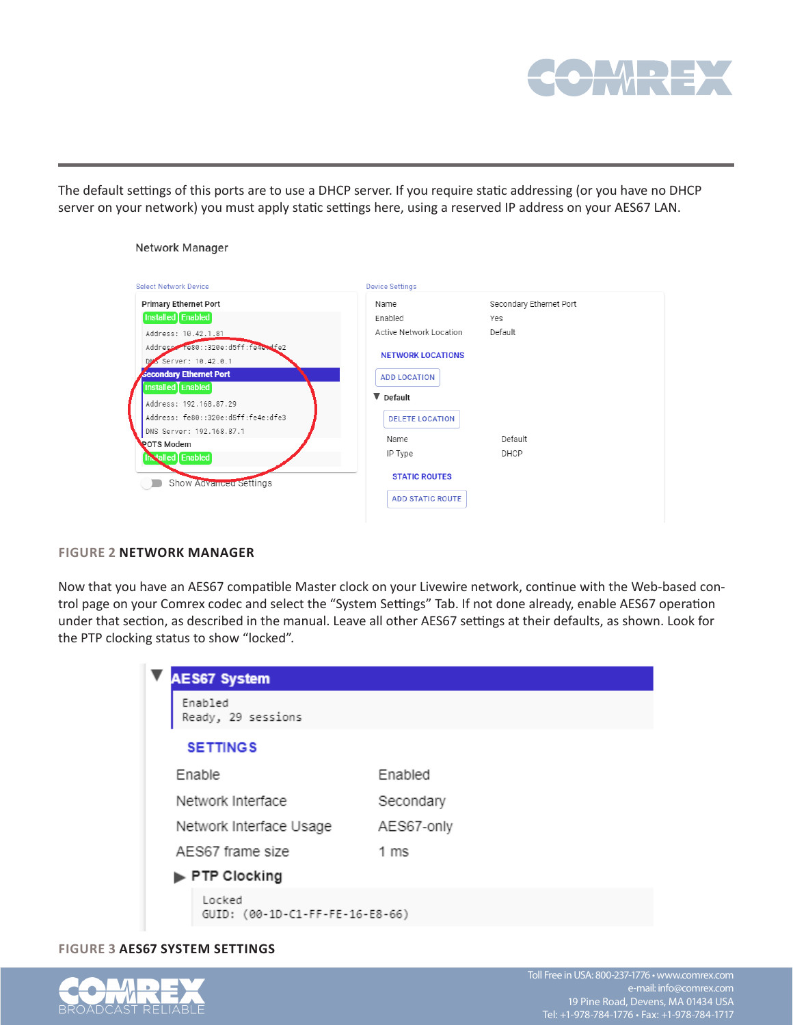

The default settings of this ports are to use a DHCP server. If you require static addressing (or you have no DHCP server on your network) you must apply static settings here, using a reserved IP address on your AES67 LAN.

| Network Manager                                                                                                                                                                               |                                                                                               |                         |
|-----------------------------------------------------------------------------------------------------------------------------------------------------------------------------------------------|-----------------------------------------------------------------------------------------------|-------------------------|
| <b>Select Network Device</b>                                                                                                                                                                  | <b>Device Settings</b>                                                                        |                         |
| <b>Primary Ethernet Port</b>                                                                                                                                                                  | Name                                                                                          | Secondary Ethernet Port |
| Installed Enabled                                                                                                                                                                             | Enabled                                                                                       | Yes                     |
| Address: 10.42.1.81                                                                                                                                                                           | Active Network Location                                                                       | Default                 |
| Address Te80::320e:d5ff:fe4e+dfe2<br>DM <sub>S</sub> Server: 10.42.0.1<br><b>Secondary Ethernet Port</b><br>Installed Enabled<br>Address: 192.168.87.29<br>Address: fe80::320e:d5ff:fe4e:dfe3 | <b>NETWORK LOCATIONS</b><br><b>ADD LOCATION</b><br>$\nabla$ Default<br><b>DELETE LOCATION</b> |                         |
| DNS Server: 192.168.87.1                                                                                                                                                                      | Name                                                                                          | Default                 |
| <b>POTS Modem</b><br><b>Installed</b> Enabled                                                                                                                                                 | IP Type                                                                                       | DHCP                    |
| Show Advanced Settings                                                                                                                                                                        | <b>STATIC ROUTES</b><br><b>ADD STATIC ROUTE</b>                                               |                         |

#### **FIGURE 2 NETWORK MANAGER**

Now that you have an AES67 compatible Master clock on your Livewire network, continue with the Web-based control page on your Comrex codec and select the "System Settings" Tab. If not done already, enable AES67 operation under that section, as described in the manual. Leave all other AES67 settings at their defaults, as shown. Look for the PTP clocking status to show "locked".

|                                           | <b>AES67 System</b>     |            |
|-------------------------------------------|-------------------------|------------|
| Enabled                                   | Ready, 29 sessions      |            |
|                                           | <b>SETTINGS</b>         |            |
| <b>Enable</b>                             |                         | Enabled    |
|                                           | Network Interface       | Secondary  |
|                                           | Network Interface Usage | AES67-only |
|                                           | AES67 frame size        | 1 ms       |
|                                           | ▶ PTP Clocking          |            |
| Locked<br>GUID: (00-1D-C1-FF-FE-16-E8-66) |                         |            |

### **FIGURE 3 AES67 SYSTEM SETTINGS**

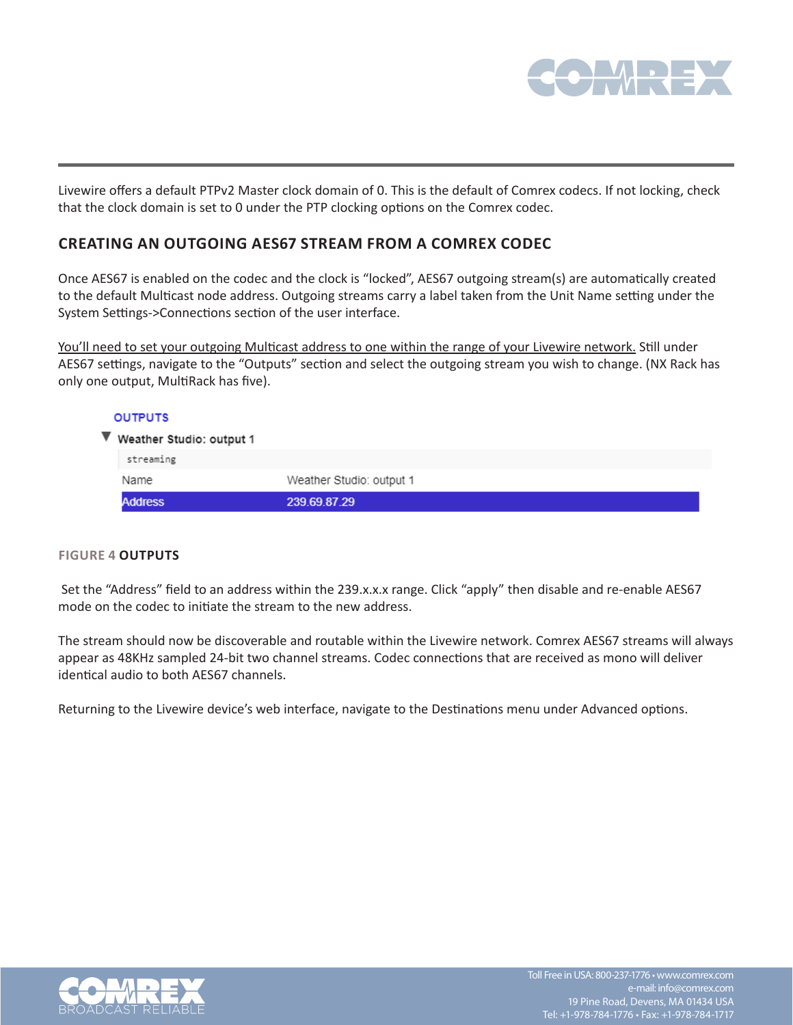

Livewire offers a default PTPv2 Master clock domain of 0. This is the default of Comrex codecs. If not locking, check that the clock domain is set to 0 under the PTP clocking options on the Comrex codec.

### **CREATING AN OUTGOING AES67 STREAM FROM A COMREX CODEC**

Once AES67 is enabled on the codec and the clock is "locked", AES67 outgoing stream(s) are automatically created to the default Multicast node address. Outgoing streams carry a label taken from the Unit Name setting under the System Settings->Connections section of the user interface.

You'll need to set your outgoing Multicast address to one within the range of your Livewire network. Still under AES67 settings, navigate to the "Outputs" section and select the outgoing stream you wish to change. (NX Rack has only one output, MultiRack has five).

| <b>OUTPUTS</b>             |                          |
|----------------------------|--------------------------|
| ▼ Weather Studio: output 1 |                          |
| streaming                  |                          |
| Name                       | Weather Studio: output 1 |
| <b>Address</b>             | 239.69.87.29             |

### **FIGURE 4 OUTPUTS**

Set the "Address" field to an address within the 239.x.x.x range. Click "apply" then disable and re-enable AES67 mode on the codec to initiate the stream to the new address.

The stream should now be discoverable and routable within the Livewire network. Comrex AES67 streams will always appear as 48KHz sampled 24-bit two channel streams. Codec connections that are received as mono will deliver identical audio to both AES67 channels.

Returning to the Livewire device's web interface, navigate to the Destinations menu under Advanced options.

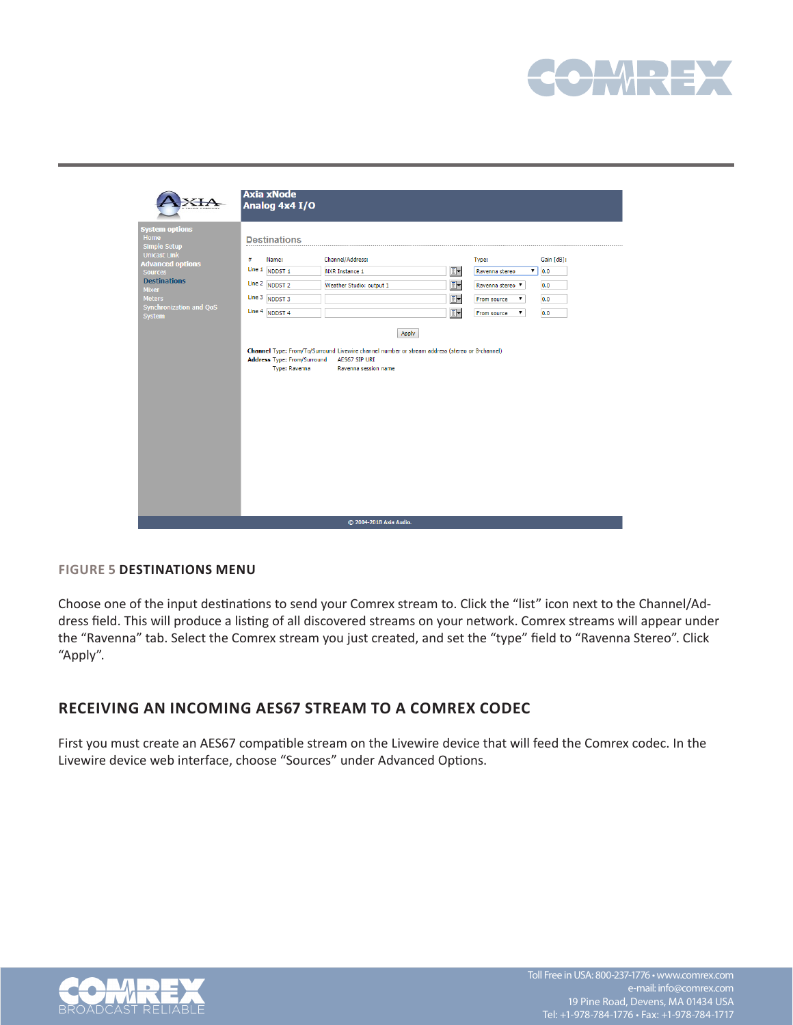

|                                                                                                                                                                                                                       | Axia xNode<br>Analog 4x4 I/O                                                                                                                                                   |                                                                                                                                                                                                                                                      |                                                                    |                                                                                    |                                        |
|-----------------------------------------------------------------------------------------------------------------------------------------------------------------------------------------------------------------------|--------------------------------------------------------------------------------------------------------------------------------------------------------------------------------|------------------------------------------------------------------------------------------------------------------------------------------------------------------------------------------------------------------------------------------------------|--------------------------------------------------------------------|------------------------------------------------------------------------------------|----------------------------------------|
| <b>System options</b><br>Home<br><b>Simple Setup</b><br><b>Unicast Link</b><br><b>Advanced options</b><br><b>Sources</b><br><b>Destinations</b><br><b>Mixer</b><br><b>Meters</b><br>Synchronization and QoS<br>System | <b>Destinations</b><br>#<br>Name:<br>Line 1<br>NDDST <sub>1</sub><br>Line 2 NDDST 2<br>Line 3 NDDST 3<br>Line 4 NDDST 4<br><b>Address Type: From/Surround</b><br>Type: Ravenna | Channel/Address:<br><b>NXR Instance 1</b><br>Weather Studio: output 1<br>Apply<br>Channel Type: From/To/Surround Livewire channel number or stream address (stereo or 8-channel)<br>AES67 SIP URI<br>Ravenna session name<br>© 2004-2018 Axia Audio. | $\overline{\mathbb{B}}$ y<br>$\overline{\mathbb{B}}$ y<br>O-<br>o, | Type:<br>Ravenna stereo<br>Ravenna stereo<br>From source<br>7<br>۷.<br>From source | Gain [dB]:<br>0.0<br>0.0<br>0.0<br>0.0 |
|                                                                                                                                                                                                                       |                                                                                                                                                                                |                                                                                                                                                                                                                                                      |                                                                    |                                                                                    |                                        |

### **FIGURE 5 DESTINATIONS MENU**

Choose one of the input destinations to send your Comrex stream to. Click the "list" icon next to the Channel/Address field. This will produce a listing of all discovered streams on your network. Comrex streams will appear under the "Ravenna" tab. Select the Comrex stream you just created, and set the "type" field to "Ravenna Stereo". Click "Apply".

### **RECEIVING AN INCOMING AES67 STREAM TO A COMREX CODEC**

First you must create an AES67 compatible stream on the Livewire device that will feed the Comrex codec. In the Livewire device web interface, choose "Sources" under Advanced Options.

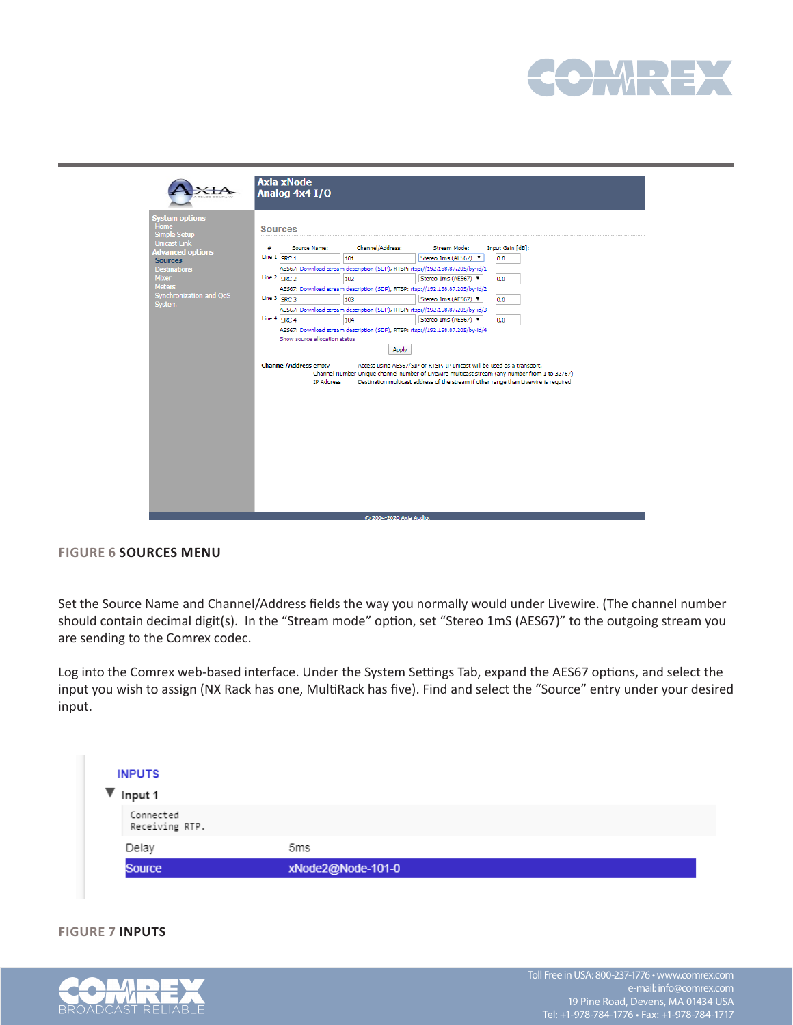

|                                           | <b>Axia xNode</b><br>Analog 4x4 I/O                                           |                                                                                                                                                                                                                                                                   |  |  |
|-------------------------------------------|-------------------------------------------------------------------------------|-------------------------------------------------------------------------------------------------------------------------------------------------------------------------------------------------------------------------------------------------------------------|--|--|
| <b>System options</b>                     |                                                                               |                                                                                                                                                                                                                                                                   |  |  |
| <b>Home</b><br><b>Simple Setup</b>        | <b>Sources</b>                                                                |                                                                                                                                                                                                                                                                   |  |  |
| <b>Unicast Link</b>                       | Channel/Address:<br>Source Name:<br>#                                         | Stream Mode:<br>Input Gain [dB]:                                                                                                                                                                                                                                  |  |  |
| <b>Advanced options</b><br><b>Sources</b> | Line 1 SRC 1<br>101                                                           | Stereo 1ms (AES67) V<br>0.0                                                                                                                                                                                                                                       |  |  |
| <b>Destinations</b>                       | AES67: Download stream description (SDP), RTSP: rtsp://192.168.87.205/by-id/1 |                                                                                                                                                                                                                                                                   |  |  |
| <b>Mixer</b>                              | Line 2 SRC 2<br>102                                                           | Stereo 1ms (AES67) V<br>0.0                                                                                                                                                                                                                                       |  |  |
| <b>Meters</b>                             | AES67: Download stream description (SDP), RTSP: rtsp://192.168.87.205/by-id/2 |                                                                                                                                                                                                                                                                   |  |  |
| Synchronization and QoS<br><b>System</b>  | Line 3 SRC 3<br>103                                                           | Stereo 1ms (AES67) V<br>0.0                                                                                                                                                                                                                                       |  |  |
|                                           | AES67: Download stream description (SDP), RTSP: rtsp://192.168.87.205/by-id/3 |                                                                                                                                                                                                                                                                   |  |  |
|                                           | Line 4 SRC 4<br>104                                                           | Stereo 1ms (AES67)<br>0.0                                                                                                                                                                                                                                         |  |  |
|                                           | AES67: Download stream description (SDP), RTSP: rtsp://192.168.87.205/bv-id/4 |                                                                                                                                                                                                                                                                   |  |  |
|                                           | Show source allocation status                                                 |                                                                                                                                                                                                                                                                   |  |  |
|                                           | Apply                                                                         |                                                                                                                                                                                                                                                                   |  |  |
|                                           |                                                                               |                                                                                                                                                                                                                                                                   |  |  |
|                                           | <b>Channel/Address empty</b><br><b>IP Address</b>                             | Access using AES67/SIP or RTSP. IP unicast will be used as a transport.<br>Channel Number Unique channel number of Livewire multicast stream (any number from 1 to 32767)<br>Destination multicast address of the stream if other range than Livewire is required |  |  |
|                                           |                                                                               |                                                                                                                                                                                                                                                                   |  |  |
|                                           |                                                                               |                                                                                                                                                                                                                                                                   |  |  |
|                                           |                                                                               |                                                                                                                                                                                                                                                                   |  |  |
|                                           |                                                                               |                                                                                                                                                                                                                                                                   |  |  |
|                                           |                                                                               |                                                                                                                                                                                                                                                                   |  |  |

### **FIGURE 6 SOURCES MENU**

Set the Source Name and Channel/Address fields the way you normally would under Livewire. (The channel number should contain decimal digit(s). In the "Stream mode" option, set "Stereo 1mS (AES67)" to the outgoing stream you are sending to the Comrex codec.

Log into the Comrex web-based interface. Under the System Settings Tab, expand the AES67 options, and select the input you wish to assign (NX Rack has one, MultiRack has five). Find and select the "Source" entry under your desired input.

| <b>INPUTS</b>               |                   |  |
|-----------------------------|-------------------|--|
| Input 1                     |                   |  |
| Connected<br>Receiving RTP. |                   |  |
| Delay                       | 5ms               |  |
| <b>Source</b>               | xNode2@Node-101-0 |  |

### **FIGURE 7 INPUTS**